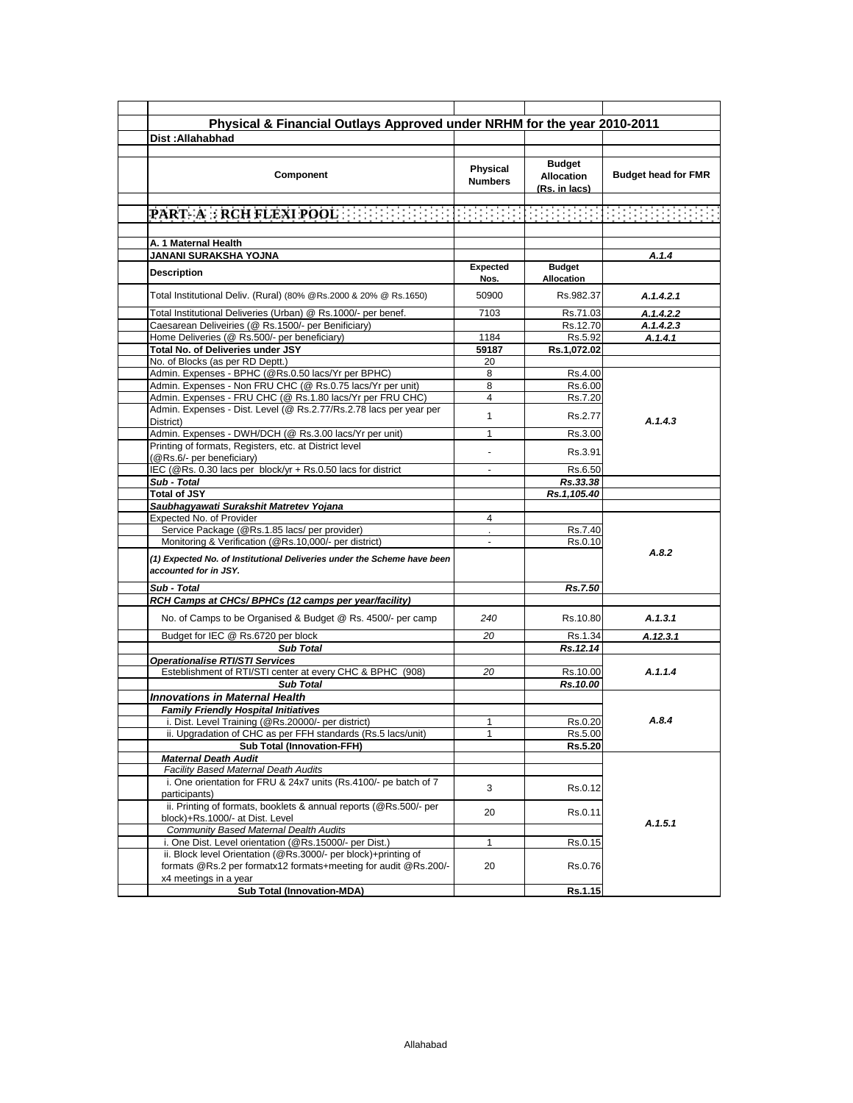| Physical & Financial Outlays Approved under NRHM for the year 2010-2011                                                                                   |                            |                                                     |                            |
|-----------------------------------------------------------------------------------------------------------------------------------------------------------|----------------------------|-----------------------------------------------------|----------------------------|
| Dist: Allahabhad                                                                                                                                          |                            |                                                     |                            |
|                                                                                                                                                           |                            |                                                     |                            |
| <b>Component</b>                                                                                                                                          | Physical<br><b>Numbers</b> | <b>Budget</b><br><b>Allocation</b><br>(Rs. in lacs) | <b>Budget head for FMR</b> |
| PART- A : RCH FLEXI POOL [ [ [ ] ]                                                                                                                        | erena                      | 888888888888                                        |                            |
|                                                                                                                                                           |                            |                                                     |                            |
| A. 1 Maternal Health                                                                                                                                      |                            |                                                     |                            |
| JANANI SURAKSHA YOJNA                                                                                                                                     |                            |                                                     | A.1.4                      |
| <b>Description</b>                                                                                                                                        | <b>Expected</b><br>Nos.    | <b>Budget</b><br>Allocation                         |                            |
| Total Institutional Deliv. (Rural) (80% @Rs.2000 & 20% @ Rs.1650)                                                                                         | 50900                      | Rs.982.37                                           | A.1.4.2.1                  |
| Total Institutional Deliveries (Urban) @ Rs.1000/- per benef.                                                                                             | 7103                       | Rs.71.03                                            | A.1.4.2.2                  |
| Caesarean Deliveiries (@ Rs.1500/- per Benificiary)                                                                                                       |                            | Rs.12.70                                            | A.1.4.2.3                  |
| Home Deliveries (@ Rs.500/- per beneficiary)                                                                                                              | 1184                       | Rs.5.92                                             | A.1.4.1                    |
| Total No. of Deliveries under JSY                                                                                                                         | 59187                      | Rs.1,072.02                                         |                            |
| No. of Blocks (as per RD Deptt.)                                                                                                                          | 20                         |                                                     |                            |
| Admin. Expenses - BPHC (@Rs.0.50 lacs/Yr per BPHC)                                                                                                        | 8                          | Rs.4.00                                             |                            |
| Admin. Expenses - Non FRU CHC (@ Rs.0.75 lacs/Yr per unit)                                                                                                | 8                          | Rs.6.00                                             |                            |
| Admin. Expenses - FRU CHC (@ Rs.1.80 lacs/Yr per FRU CHC)                                                                                                 | 4                          | Rs.7.20                                             |                            |
| Admin. Expenses - Dist. Level (@ Rs.2.77/Rs.2.78 lacs per year per<br>District)                                                                           | $\mathbf{1}$               | Rs.2.77                                             | A.1.4.3                    |
| Admin. Expenses - DWH/DCH (@ Rs.3.00 lacs/Yr per unit)                                                                                                    | $\mathbf{1}$               | Rs.3.00                                             |                            |
| Printing of formats, Registers, etc. at District level<br>(@Rs.6/- per beneficiary)                                                                       |                            | Rs.3.91                                             |                            |
| IEC (@Rs. 0.30 lacs per block/yr + Rs.0.50 lacs for district                                                                                              | $\mathbf{r}$               | Rs.6.50                                             |                            |
| Sub - Total                                                                                                                                               |                            | Rs.33.38                                            |                            |
| <b>Total of JSY</b>                                                                                                                                       |                            | Rs.1,105.40                                         |                            |
| Saubhagyawati Surakshit Matretev Yojana                                                                                                                   |                            |                                                     |                            |
| Expected No. of Provider                                                                                                                                  | 4                          |                                                     |                            |
| Service Package (@Rs.1.85 lacs/ per provider)                                                                                                             |                            | Rs.7.40                                             |                            |
| Monitoring & Verification (@Rs.10,000/- per district)<br>(1) Expected No. of Institutional Deliveries under the Scheme have been<br>accounted for in JSY. | $\sim$                     | Rs.0.10                                             | A.8.2                      |
| Sub - Total                                                                                                                                               |                            | Rs.7.50                                             |                            |
| RCH Camps at CHCs/ BPHCs (12 camps per year/facility)                                                                                                     |                            |                                                     |                            |
| No. of Camps to be Organised & Budget @ Rs. 4500/- per camp                                                                                               | 240                        | Rs.10.80                                            | A.1.3.1                    |
| Budget for IEC @ Rs.6720 per block                                                                                                                        | 20                         | Rs.1.34                                             | A.12.3.1                   |
| <b>Sub Total</b>                                                                                                                                          |                            | Rs.12.14                                            |                            |
| <b>Operationalise RTI/STI Services</b>                                                                                                                    |                            |                                                     |                            |
| Esteblishment of RTI/STI center at every CHC & BPHC (908)                                                                                                 | 20                         | Rs.10.00                                            | A.1.1.4                    |
| <b>Sub Total</b>                                                                                                                                          |                            | Rs.10.00                                            |                            |
| <b>Innovations in Maternal Health</b>                                                                                                                     |                            |                                                     |                            |
| <b>Family Friendly Hospital Initiatives</b>                                                                                                               |                            |                                                     |                            |
| i. Dist. Level Training (@Rs.20000/- per district)                                                                                                        | 1                          | Rs.0.20                                             | A.8.4                      |
| ii. Upgradation of CHC as per FFH standards (Rs.5 lacs/unit)                                                                                              | 1                          | Rs.5.00                                             |                            |
| <b>Sub Total (Innovation-FFH)</b>                                                                                                                         |                            | Rs.5.20                                             |                            |
| <b>Maternal Death Audit</b>                                                                                                                               |                            |                                                     |                            |
| Facility Based Maternal Death Audits                                                                                                                      |                            |                                                     |                            |
| i. One orientation for FRU & 24x7 units (Rs.4100/- pe batch of 7<br>participants)                                                                         | 3                          | Rs.0.12                                             |                            |
| ii. Printing of formats, booklets & annual reports (@Rs.500/- per<br>block)+Rs.1000/- at Dist. Level                                                      | 20                         | Rs.0.11                                             | A.1.5.1                    |
| <b>Community Based Maternal Dealth Audits</b>                                                                                                             |                            |                                                     |                            |
| i. One Dist. Level orientation (@Rs.15000/- per Dist.)                                                                                                    | $\mathbf{1}$               | Rs.0.15                                             |                            |
| ii. Block level Orientation (@Rs.3000/- per block)+printing of<br>formats @Rs.2 per formatx12 formats+meeting for audit @Rs.200/-                         | 20                         | Rs.0.76                                             |                            |
| x4 meetings in a year                                                                                                                                     |                            |                                                     |                            |
| <b>Sub Total (Innovation-MDA)</b>                                                                                                                         |                            | Rs.1.15                                             |                            |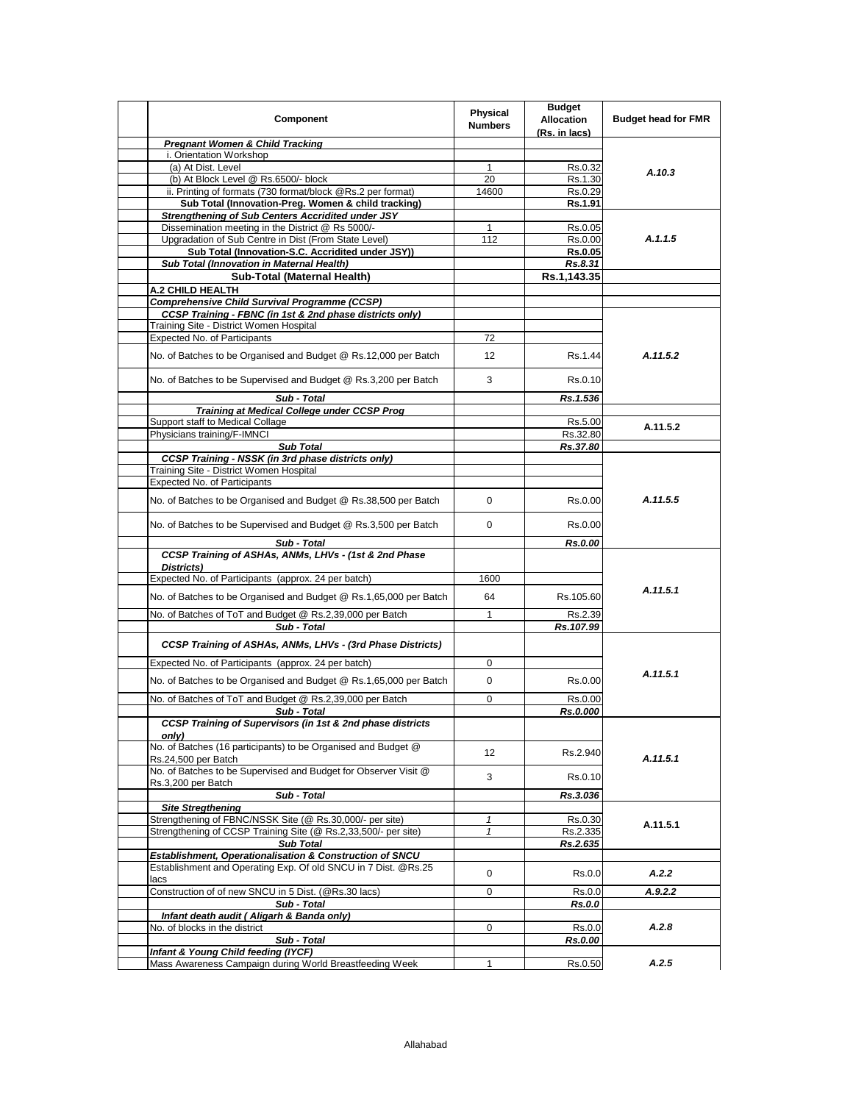|                                                                                    | <b>Physical</b> | <b>Budget</b>        |                            |
|------------------------------------------------------------------------------------|-----------------|----------------------|----------------------------|
| Component                                                                          | <b>Numbers</b>  | <b>Allocation</b>    | <b>Budget head for FMR</b> |
|                                                                                    |                 | (Rs. in lacs)        |                            |
| <b>Pregnant Women &amp; Child Tracking</b>                                         |                 |                      |                            |
| i. Orientation Workshop<br>(a) At Dist. Level                                      | 1               | Rs.0.32              |                            |
| (b) At Block Level @ Rs.6500/- block                                               | 20              | Rs.1.30              | A.10.3                     |
| ii. Printing of formats (730 format/block @Rs.2 per format)                        | 14600           | Rs.0.29              |                            |
| Sub Total (Innovation-Preg. Women & child tracking)                                |                 | Rs.1.91              |                            |
| Strengthening of Sub Centers Accridited under JSY                                  |                 |                      |                            |
| Dissemination meeting in the District @ Rs 5000/-                                  | 1               | Rs.0.05              |                            |
| Upgradation of Sub Centre in Dist (From State Level)                               | 112             | Rs.0.00              | A.1.1.5                    |
| Sub Total (Innovation-S.C. Accridited under JSY))                                  |                 | <b>Rs.0.05</b>       |                            |
| Sub Total (Innovation in Maternal Health)                                          |                 | Rs.8.31              |                            |
| Sub-Total (Maternal Health)                                                        |                 | Rs.1,143.35          |                            |
| A.2 CHILD HEALTH                                                                   |                 |                      |                            |
| <b>Comprehensive Child Survival Programme (CCSP)</b>                               |                 |                      |                            |
| CCSP Training - FBNC (in 1st & 2nd phase districts only)                           |                 |                      |                            |
| Training Site - District Women Hospital                                            |                 |                      |                            |
| Expected No. of Participants                                                       | 72              |                      |                            |
|                                                                                    |                 |                      | A.11.5.2                   |
| No. of Batches to be Organised and Budget @ Rs.12,000 per Batch                    | 12              | Rs.1.44              |                            |
| No. of Batches to be Supervised and Budget @ Rs.3,200 per Batch                    | 3               | Rs.0.10              |                            |
|                                                                                    |                 |                      |                            |
| Sub - Total                                                                        |                 | Rs.1.536             |                            |
| <b>Training at Medical College under CCSP Prog</b>                                 |                 |                      |                            |
| Support staff to Medical Collage                                                   |                 | Rs.5.00              | A.11.5.2                   |
| Physicians training/F-IMNCI                                                        |                 | Rs.32.80             |                            |
| <b>Sub Total</b>                                                                   |                 | Rs.37.80             |                            |
| <b>CCSP Training - NSSK (in 3rd phase districts only)</b>                          |                 |                      |                            |
| Training Site - District Women Hospital                                            |                 |                      |                            |
| Expected No. of Participants                                                       |                 |                      |                            |
| No. of Batches to be Organised and Budget @ Rs.38,500 per Batch                    | 0               | Rs.0.00              | A.11.5.5                   |
| No. of Batches to be Supervised and Budget @ Rs.3,500 per Batch                    | 0               | Rs.0.00              |                            |
| Sub - Total                                                                        |                 | Rs.0.00              |                            |
| CCSP Training of ASHAs, ANMs, LHVs - (1st & 2nd Phase                              |                 |                      |                            |
| Districts)                                                                         |                 |                      |                            |
| Expected No. of Participants (approx. 24 per batch)                                | 1600            |                      |                            |
| No. of Batches to be Organised and Budget @ Rs.1,65,000 per Batch                  | 64              | Rs.105.60            | A.11.5.1                   |
| No. of Batches of ToT and Budget @ Rs.2,39,000 per Batch                           | $\mathbf{1}$    | Rs.2.39              |                            |
| Sub - Total                                                                        |                 | Rs.107.99            |                            |
| CCSP Training of ASHAs, ANMs, LHVs - (3rd Phase Districts)                         |                 |                      |                            |
| Expected No. of Participants (approx. 24 per batch)                                | 0               |                      |                            |
|                                                                                    |                 |                      | A.11.5.1                   |
| No. of Batches to be Organised and Budget @ Rs.1,65,000 per Batch                  | 0               | Rs.0.00              |                            |
| No. of Batches of ToT and Budget @ Rs.2,39,000 per Batch                           | 0               | Rs.0.00              |                            |
| Sub - Total                                                                        |                 | Rs.0.000             |                            |
| CCSP Training of Supervisors (in 1st & 2nd phase districts                         |                 |                      |                            |
| only)                                                                              |                 |                      |                            |
| No. of Batches (16 participants) to be Organised and Budget @                      | 12              | Rs.2.940             |                            |
| Rs.24,500 per Batch                                                                |                 |                      | A.11.5.1                   |
| No. of Batches to be Supervised and Budget for Observer Visit @                    | 3               | Rs.0.10              |                            |
| Rs.3,200 per Batch                                                                 |                 |                      |                            |
| Sub - Total                                                                        |                 | Rs.3.036             |                            |
| <b>Site Stregthening</b>                                                           |                 |                      |                            |
| Strengthening of FBNC/NSSK Site (@ Rs.30,000/- per site)                           | $\mathbf{1}$    | Rs.0.30              | A.11.5.1                   |
| Strengthening of CCSP Training Site (@ Rs.2,33,500/- per site)<br><b>Sub Total</b> | $\mathbf{1}$    | Rs.2.335<br>Rs.2.635 |                            |
| Establishment, Operationalisation & Construction of SNCU                           |                 |                      |                            |
| Establishment and Operating Exp. Of old SNCU in 7 Dist. @Rs.25                     |                 |                      |                            |
| lacs                                                                               | 0               | Rs.0.0               | A.2.2                      |
| Construction of of new SNCU in 5 Dist. (@Rs.30 lacs)                               | 0               | Rs.0.0               | A.9.2.2                    |
| Sub - Total                                                                        |                 | Rs.0.0               |                            |
| Infant death audit (Aligarh & Banda only)                                          |                 |                      |                            |
| No. of blocks in the district                                                      | 0               | Rs.0.0               | A.2.8                      |
| Sub - Total                                                                        |                 | Rs.0.00              |                            |
| Infant & Young Child feeding (IYCF)                                                |                 |                      |                            |
| Mass Awareness Campaign during World Breastfeeding Week                            | 1               | Rs.0.50              | A.2.5                      |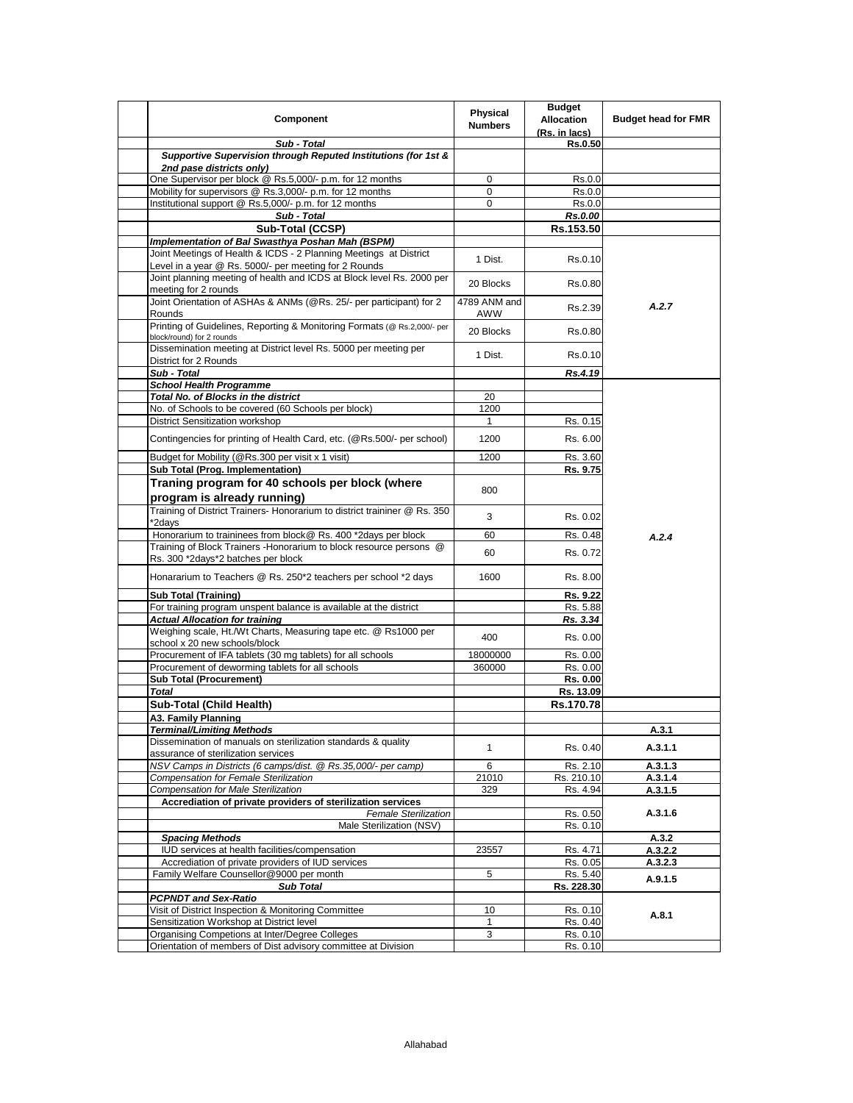| Component                                                                                                                      | Physical<br><b>Numbers</b> | <b>Budget</b><br><b>Allocation</b><br>(Rs. in lacs) | <b>Budget head for FMR</b> |
|--------------------------------------------------------------------------------------------------------------------------------|----------------------------|-----------------------------------------------------|----------------------------|
| Sub - Total                                                                                                                    |                            | Rs.0.50                                             |                            |
| Supportive Supervision through Reputed Institutions (for 1st &<br>2nd pase districts only)                                     |                            |                                                     |                            |
| One Supervisor per block @ Rs.5,000/- p.m. for 12 months                                                                       | $\mathbf 0$                | Rs.0.0                                              |                            |
| Mobility for supervisors @ Rs.3,000/- p.m. for 12 months                                                                       | 0                          | Rs.0.0                                              |                            |
| Institutional support @ Rs.5,000/- p.m. for 12 months                                                                          | 0                          | Rs.0.0                                              |                            |
| Sub - Total                                                                                                                    |                            | Rs.0.00                                             |                            |
| Sub-Total (CCSP)                                                                                                               |                            | Rs.153.50                                           |                            |
| Implementation of Bal Swasthya Poshan Mah (BSPM)                                                                               |                            |                                                     |                            |
| Joint Meetings of Health & ICDS - 2 Planning Meetings at District                                                              | 1 Dist.                    | Rs.0.10                                             |                            |
| Level in a year @ Rs. 5000/- per meeting for 2 Rounds<br>Joint planning meeting of health and ICDS at Block level Rs. 2000 per | 20 Blocks                  | Rs.0.80                                             |                            |
| meeting for 2 rounds<br>Joint Orientation of ASHAs & ANMs (@Rs. 25/- per participant) for 2                                    | 4789 ANM and               | Rs.2.39                                             | A.2.7                      |
| Rounds<br>Printing of Guidelines, Reporting & Monitoring Formats (@ Rs.2,000/- per                                             | AWW                        |                                                     |                            |
| block/round) for 2 rounds<br>Dissemination meeting at District level Rs. 5000 per meeting per                                  | 20 Blocks                  | Rs.0.80                                             |                            |
| District for 2 Rounds                                                                                                          | 1 Dist.                    | Rs.0.10                                             |                            |
| Sub - Total                                                                                                                    |                            | Rs.4.19                                             |                            |
| <b>School Health Programme</b>                                                                                                 |                            |                                                     |                            |
| Total No. of Blocks in the district                                                                                            | 20                         |                                                     |                            |
| No. of Schools to be covered (60 Schools per block)                                                                            | 1200                       |                                                     |                            |
| <b>District Sensitization workshop</b>                                                                                         | 1<br>1200                  | Rs. 0.15                                            |                            |
| Contingencies for printing of Health Card, etc. (@Rs.500/- per school)<br>Budget for Mobility (@Rs.300 per visit x 1 visit)    | 1200                       | Rs. 6.00<br>Rs. 3.60                                |                            |
| Sub Total (Prog. Implementation)                                                                                               |                            | Rs. 9.75                                            |                            |
|                                                                                                                                |                            |                                                     |                            |
| Traning program for 40 schools per block (where<br>program is already running)                                                 | 800                        |                                                     |                            |
| Training of District Trainers- Honorarium to district traininer @ Rs. 350                                                      |                            |                                                     |                            |
| *2days                                                                                                                         | 3                          | Rs. 0.02                                            |                            |
| Honorarium to traininees from block@ Rs. 400 *2days per block                                                                  | 60                         | Rs. 0.48                                            | A.2.4                      |
| Training of Block Trainers - Honorarium to block resource persons @<br>Rs. 300 *2days*2 batches per block                      | 60                         | Rs. 0.72                                            |                            |
| Honararium to Teachers @ Rs. 250*2 teachers per school *2 days                                                                 | 1600                       | Rs. 8.00                                            |                            |
| <b>Sub Total (Training)</b>                                                                                                    |                            | Rs. 9.22                                            |                            |
| For training program unspent balance is available at the district                                                              |                            | Rs. 5.88                                            |                            |
| <b>Actual Allocation for training</b>                                                                                          |                            | Rs. 3.34                                            |                            |
| Weighing scale, Ht./Wt Charts, Measuring tape etc. @ Rs1000 per<br>school x 20 new schools/block                               | 400                        | Rs. 0.00                                            |                            |
| Procurement of IFA tablets (30 mg tablets) for all schools                                                                     | 18000000                   | Rs. 0.00                                            |                            |
| Procurement of deworming tablets for all schools                                                                               | 360000                     | Rs. 0.00                                            |                            |
| <b>Sub Total (Procurement)</b>                                                                                                 |                            | Rs. 0.00                                            |                            |
| <b>Total</b>                                                                                                                   |                            | Rs. 13.09                                           |                            |
| Sub-Total (Child Health)                                                                                                       |                            | Rs.170.78                                           |                            |
| A3. Family Planning                                                                                                            |                            |                                                     |                            |
| <b>Terminal/Limiting Methods</b>                                                                                               |                            |                                                     | A.3.1                      |
| Dissemination of manuals on sterilization standards & quality                                                                  | 1                          | Rs. 0.40                                            | A.3.1.1                    |
| assurance of sterilization services                                                                                            |                            |                                                     |                            |
| NSV Camps in Districts (6 camps/dist. @ Rs.35,000/- per camp)                                                                  | 6                          | Rs. 2.10                                            | A.3.1.3                    |
| <b>Compensation for Female Sterilization</b>                                                                                   | 21010                      | Rs. 210.10                                          | A.3.1.4                    |
| <b>Compensation for Male Sterilization</b>                                                                                     | 329                        | Rs. 4.94                                            | A.3.1.5                    |
| Accrediation of private providers of sterilization services                                                                    |                            |                                                     | A.3.1.6                    |
| <b>Female Sterilization</b><br>Male Sterilization (NSV)                                                                        |                            | Rs. 0.50<br>Rs. 0.10                                |                            |
| <b>Spacing Methods</b>                                                                                                         |                            |                                                     | A.3.2                      |
| IUD services at health facilities/compensation                                                                                 | 23557                      | Rs. 4.71                                            | A.3.2.2                    |
| Accrediation of private providers of IUD services                                                                              |                            | Rs. 0.05                                            | A.3.2.3                    |
| Family Welfare Counsellor@9000 per month                                                                                       | 5                          | Rs. 5.40                                            |                            |
| <b>Sub Total</b>                                                                                                               |                            | Rs. 228.30                                          | A.9.1.5                    |
| <b>PCPNDT and Sex-Ratio</b>                                                                                                    |                            |                                                     |                            |
| Visit of District Inspection & Monitoring Committee                                                                            | 10                         | Rs. 0.10                                            |                            |
| Sensitization Workshop at District level                                                                                       | $\mathbf{1}$               | Rs. 0.40                                            | A.8.1                      |
| Organising Competions at Inter/Degree Colleges                                                                                 | 3                          | Rs. 0.10                                            |                            |
| Orientation of members of Dist advisory committee at Division                                                                  |                            | Rs. 0.10                                            |                            |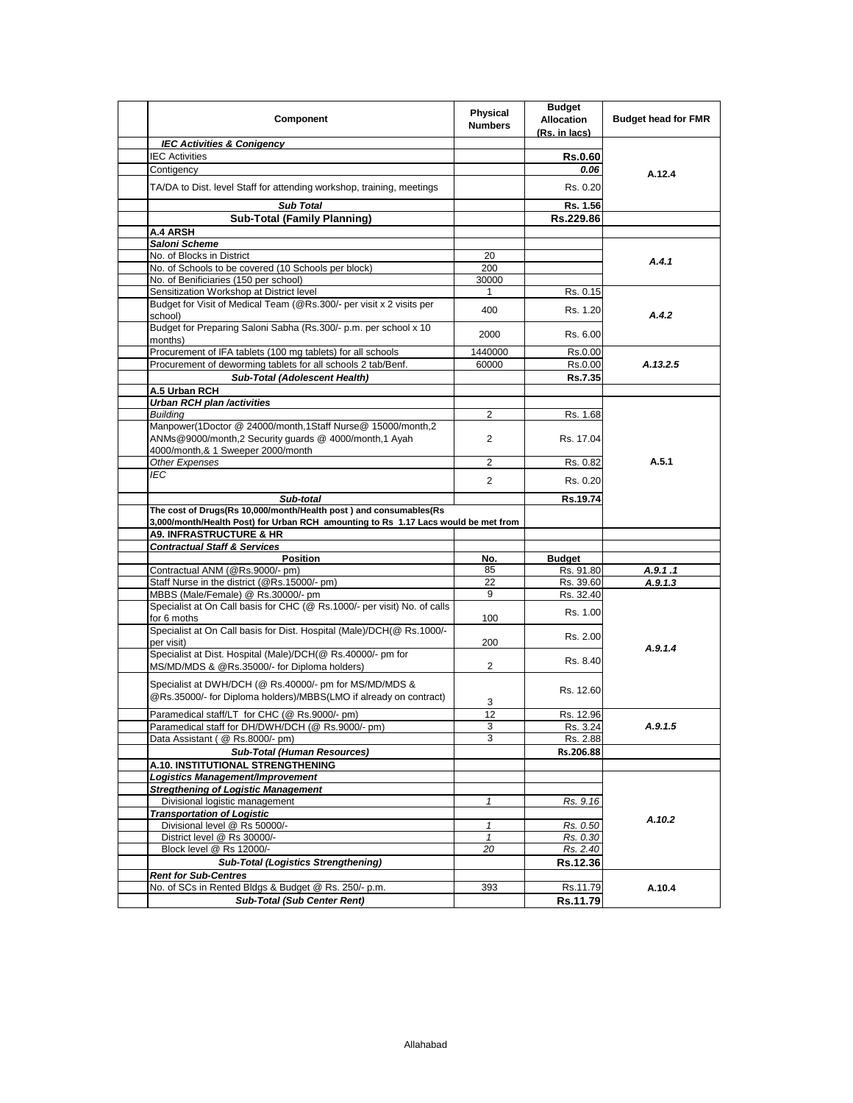| Component                                                                                                                                                                                                                                | Physical<br><b>Numbers</b> | <b>Budget</b><br><b>Allocation</b><br>(Rs. in lacs) | <b>Budget head for FMR</b> |
|------------------------------------------------------------------------------------------------------------------------------------------------------------------------------------------------------------------------------------------|----------------------------|-----------------------------------------------------|----------------------------|
| <b>IEC Activities &amp; Conigency</b>                                                                                                                                                                                                    |                            |                                                     |                            |
| <b>IEC Activities</b>                                                                                                                                                                                                                    |                            | <b>Rs.0.60</b>                                      |                            |
| Contigency                                                                                                                                                                                                                               |                            | 0.06                                                | A.12.4                     |
| TA/DA to Dist. level Staff for attending workshop, training, meetings                                                                                                                                                                    |                            | Rs. 0.20                                            |                            |
| <b>Sub Total</b>                                                                                                                                                                                                                         |                            | Rs. 1.56                                            |                            |
| <b>Sub-Total (Family Planning)</b>                                                                                                                                                                                                       |                            | Rs.229.86                                           |                            |
| A.4 ARSH                                                                                                                                                                                                                                 |                            |                                                     |                            |
| Saloni Scheme                                                                                                                                                                                                                            |                            |                                                     |                            |
| No. of Blocks in District                                                                                                                                                                                                                | 20                         |                                                     | A.4.1                      |
| No. of Schools to be covered (10 Schools per block)                                                                                                                                                                                      | 200                        |                                                     |                            |
| No. of Benificiaries (150 per school)                                                                                                                                                                                                    | 30000                      |                                                     |                            |
| Sensitization Workshop at District level                                                                                                                                                                                                 | 1                          | Rs. 0.15                                            |                            |
| Budget for Visit of Medical Team (@Rs.300/- per visit x 2 visits per<br>school)                                                                                                                                                          | 400                        | Rs. 1.20                                            | A.4.2                      |
| Budget for Preparing Saloni Sabha (Rs.300/- p.m. per school x 10<br>months)                                                                                                                                                              | 2000                       | Rs. 6.00                                            |                            |
| Procurement of IFA tablets (100 mg tablets) for all schools                                                                                                                                                                              | 1440000                    | Rs.0.00                                             |                            |
| Procurement of deworming tablets for all schools 2 tab/Benf.                                                                                                                                                                             | 60000                      | Rs.0.00                                             | A.13.2.5                   |
| Sub-Total (Adolescent Health)                                                                                                                                                                                                            |                            | Rs.7.35                                             |                            |
| A.5 Urban RCH                                                                                                                                                                                                                            |                            |                                                     |                            |
| <b>Urban RCH plan /activities</b>                                                                                                                                                                                                        |                            |                                                     |                            |
| <b>Building</b>                                                                                                                                                                                                                          | $\overline{2}$             | Rs. 1.68                                            |                            |
| Manpower(1Doctor @ 24000/month,1Staff Nurse@ 15000/month,2                                                                                                                                                                               |                            |                                                     |                            |
| ANMs@9000/month,2 Security guards @ 4000/month,1 Ayah                                                                                                                                                                                    | 2                          | Rs. 17.04                                           |                            |
| 4000/month,& 1 Sweeper 2000/month<br>Other Expenses                                                                                                                                                                                      | $\overline{2}$             | Rs. 0.82                                            | A.5.1                      |
| <b>IEC</b>                                                                                                                                                                                                                               |                            |                                                     |                            |
|                                                                                                                                                                                                                                          | $\overline{2}$             | Rs. 0.20                                            |                            |
| The cost of Drugs(Rs 10,000/month/Health post) and consumables(Rs<br>3,000/month/Health Post) for Urban RCH amounting to Rs 1.17 Lacs would be met from<br><b>A9. INFRASTRUCTURE &amp; HR</b><br><b>Contractual Staff &amp; Services</b> |                            |                                                     |                            |
| <b>Position</b>                                                                                                                                                                                                                          | No.                        | <b>Budget</b>                                       |                            |
| Contractual ANM (@Rs.9000/- pm)                                                                                                                                                                                                          | 85                         | Rs. 91.80                                           | A.9.1.1                    |
| Staff Nurse in the district (@Rs.15000/- pm)                                                                                                                                                                                             | 22                         | Rs. 39.60                                           | A.9.1.3                    |
| MBBS (Male/Female) @ Rs.30000/- pm                                                                                                                                                                                                       | 9                          | Rs. 32.40                                           |                            |
| Specialist at On Call basis for CHC (@ Rs.1000/- per visit) No. of calls<br>for 6 moths                                                                                                                                                  | 100                        | Rs. 1.00                                            |                            |
| Specialist at On Call basis for Dist. Hospital (Male)/DCH(@ Rs.1000/-                                                                                                                                                                    |                            |                                                     |                            |
| per visit)                                                                                                                                                                                                                               | 200                        | Rs. 2.00                                            | A.9.1.4                    |
| Specialist at Dist. Hospital (Male)/DCH(@ Rs.40000/- pm for<br>MS/MD/MDS & @Rs.35000/- for Diploma holders)                                                                                                                              | 2                          | Rs. 8.40                                            |                            |
|                                                                                                                                                                                                                                          |                            |                                                     |                            |
| Specialist at DWH/DCH (@ Rs.40000/- pm for MS/MD/MDS &<br>@Rs.35000/- for Diploma holders)/MBBS(LMO if already on contract)                                                                                                              |                            | Rs. 12.60                                           |                            |
| Paramedical staff/LT for CHC (@ Rs.9000/- pm)                                                                                                                                                                                            | 3<br>12                    | Rs. 12.96                                           |                            |
|                                                                                                                                                                                                                                          |                            |                                                     | A.9.1.5                    |
| Paramedical staff for DH/DWH/DCH (@ Rs.9000/- pm)<br>Data Assistant ( @ Rs.8000/- pm)                                                                                                                                                    | З<br>3                     | RS. 3.24<br>Rs. 2.88                                |                            |
| <b>Sub-Total (Human Resources)</b>                                                                                                                                                                                                       |                            | Rs.206.88                                           |                            |
| A.10. INSTITUTIONAL STRENGTHENING                                                                                                                                                                                                        |                            |                                                     |                            |
| Logistics Management/Improvement                                                                                                                                                                                                         |                            |                                                     |                            |
| <b>Stregthening of Logistic Management</b>                                                                                                                                                                                               |                            |                                                     |                            |
| Divisional logistic management                                                                                                                                                                                                           | $\mathbf{1}$               | Rs. 9.16                                            |                            |
| <b>Transportation of Logistic</b>                                                                                                                                                                                                        |                            |                                                     |                            |
| Divisional level @ Rs 50000/-                                                                                                                                                                                                            | $\mathbf{1}$               | Rs. 0.50                                            | A.10.2                     |
| District level @ Rs 30000/-                                                                                                                                                                                                              | 1                          | Rs. 0.30                                            |                            |
| Block level @ Rs 12000/-                                                                                                                                                                                                                 | 20                         | Rs. 2.40                                            |                            |
| <b>Sub-Total (Logistics Strengthening)</b>                                                                                                                                                                                               |                            | Rs.12.36                                            |                            |
| <b>Rent for Sub-Centres</b>                                                                                                                                                                                                              |                            |                                                     |                            |
| No. of SCs in Rented Bldgs & Budget @ Rs. 250/- p.m.                                                                                                                                                                                     | 393                        | Rs.11.79                                            | A.10.4                     |
| <b>Sub-Total (Sub Center Rent)</b>                                                                                                                                                                                                       |                            | Rs.11.79                                            |                            |
|                                                                                                                                                                                                                                          |                            |                                                     |                            |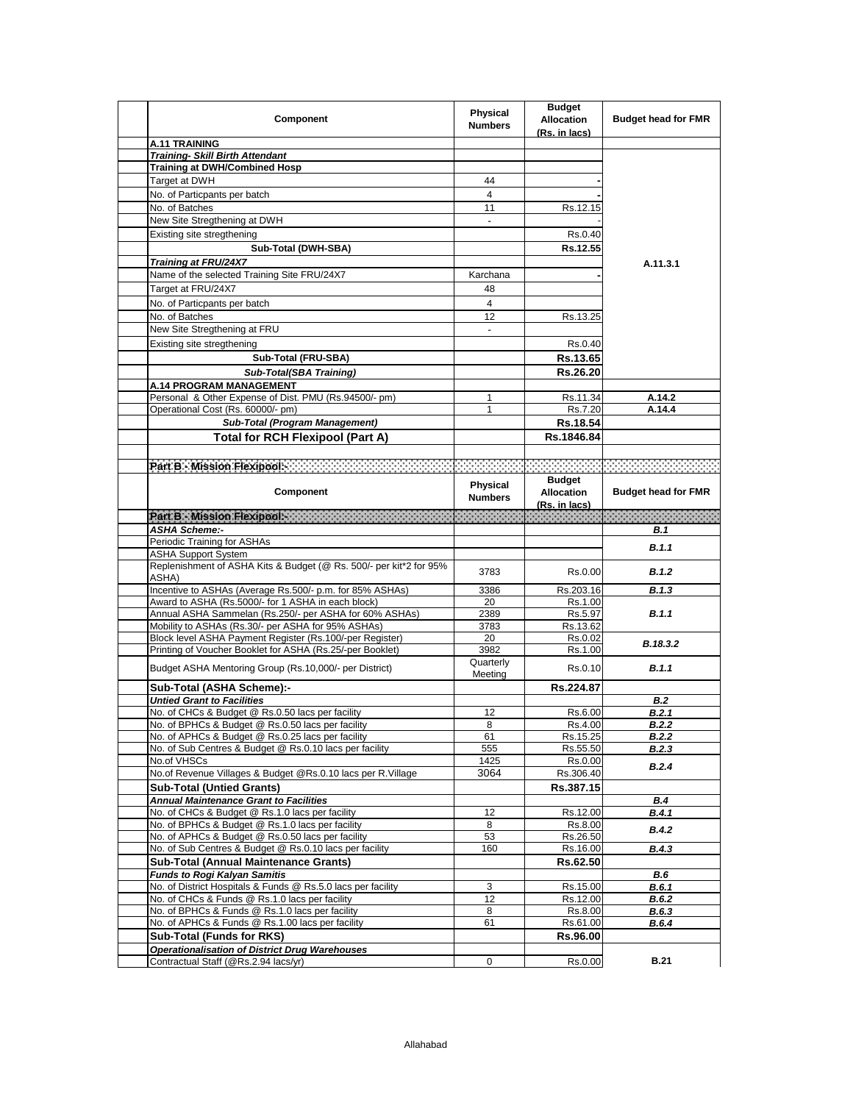| Component                                                                                                           | <b>Physical</b><br><b>Numbers</b> | <b>Budget</b><br><b>Allocation</b><br>(Rs. in lacs) | <b>Budget head for FMR</b>                                                                                                                                                                                                       |
|---------------------------------------------------------------------------------------------------------------------|-----------------------------------|-----------------------------------------------------|----------------------------------------------------------------------------------------------------------------------------------------------------------------------------------------------------------------------------------|
| <b>A.11 TRAINING</b>                                                                                                |                                   |                                                     |                                                                                                                                                                                                                                  |
| <b>Training- Skill Birth Attendant</b>                                                                              |                                   |                                                     |                                                                                                                                                                                                                                  |
| <b>Training at DWH/Combined Hosp</b>                                                                                |                                   |                                                     |                                                                                                                                                                                                                                  |
| Target at DWH                                                                                                       | 44                                |                                                     |                                                                                                                                                                                                                                  |
| No. of Particpants per batch                                                                                        | 4                                 |                                                     |                                                                                                                                                                                                                                  |
| No. of Batches                                                                                                      | 11                                | Rs.12.15                                            |                                                                                                                                                                                                                                  |
| New Site Stregthening at DWH                                                                                        | $\overline{\phantom{a}}$          |                                                     |                                                                                                                                                                                                                                  |
| Existing site stregthening                                                                                          |                                   | Rs.0.40                                             |                                                                                                                                                                                                                                  |
|                                                                                                                     |                                   | Rs.12.55                                            |                                                                                                                                                                                                                                  |
| Sub-Total (DWH-SBA)                                                                                                 |                                   |                                                     |                                                                                                                                                                                                                                  |
| Training at FRU/24X7                                                                                                |                                   |                                                     | A.11.3.1                                                                                                                                                                                                                         |
| Name of the selected Training Site FRU/24X7                                                                         | Karchana                          |                                                     |                                                                                                                                                                                                                                  |
| Target at FRU/24X7                                                                                                  | 48                                |                                                     |                                                                                                                                                                                                                                  |
| No. of Particpants per batch                                                                                        | 4                                 |                                                     |                                                                                                                                                                                                                                  |
| No. of Batches                                                                                                      | 12                                | Rs.13.25                                            |                                                                                                                                                                                                                                  |
| New Site Stregthening at FRU                                                                                        | $\overline{\phantom{a}}$          |                                                     |                                                                                                                                                                                                                                  |
| Existing site stregthening                                                                                          |                                   | Rs.0.40                                             |                                                                                                                                                                                                                                  |
| Sub-Total (FRU-SBA)                                                                                                 |                                   | Rs.13.65                                            |                                                                                                                                                                                                                                  |
| Sub-Total(SBA Training)                                                                                             |                                   | Rs.26.20                                            |                                                                                                                                                                                                                                  |
| <b>A.14 PROGRAM MANAGEMENT</b>                                                                                      |                                   |                                                     |                                                                                                                                                                                                                                  |
| Personal & Other Expense of Dist. PMU (Rs.94500/- pm)                                                               | 1                                 | Rs.11.34                                            | A.14.2                                                                                                                                                                                                                           |
| Operational Cost (Rs. 60000/- pm)                                                                                   | 1                                 | Rs.7.20                                             | A.14.4                                                                                                                                                                                                                           |
|                                                                                                                     |                                   |                                                     |                                                                                                                                                                                                                                  |
| Sub-Total (Program Management)                                                                                      |                                   | Rs.18.54                                            |                                                                                                                                                                                                                                  |
| <b>Total for RCH Flexipool (Part A)</b>                                                                             |                                   | Rs.1846.84                                          |                                                                                                                                                                                                                                  |
|                                                                                                                     |                                   |                                                     |                                                                                                                                                                                                                                  |
| Part B - Mission Flexipools - The Microsoft Control of the Microsoft Control of Control of The Microsoft Control of |                                   |                                                     |                                                                                                                                                                                                                                  |
|                                                                                                                     |                                   | <b>Budget</b>                                       |                                                                                                                                                                                                                                  |
| Component                                                                                                           | Physical                          | <b>Allocation</b>                                   | <b>Budget head for FMR</b>                                                                                                                                                                                                       |
|                                                                                                                     | <b>Numbers</b>                    | (Rs. in lacs)                                       |                                                                                                                                                                                                                                  |
|                                                                                                                     |                                   |                                                     | in de la component de la component de la component de la component de la component de la component de la compo<br>La component de la component de la component de la component de la component de la component de la component d |
| <b>ASHA Scheme:-</b>                                                                                                |                                   |                                                     | <b>B.1</b>                                                                                                                                                                                                                       |
| Periodic Training for ASHAs                                                                                         |                                   |                                                     | B.1.1                                                                                                                                                                                                                            |
| <b>ASHA Support System</b>                                                                                          |                                   |                                                     |                                                                                                                                                                                                                                  |
| Replenishment of ASHA Kits & Budget (@ Rs. 500/- per kit*2 for 95%                                                  | 3783                              | Rs.0.00                                             | B.1.2                                                                                                                                                                                                                            |
| ASHA)                                                                                                               |                                   |                                                     |                                                                                                                                                                                                                                  |
| Incentive to ASHAs (Average Rs.500/- p.m. for 85% ASHAs)                                                            | 3386                              | Rs.203.16                                           | B.1.3                                                                                                                                                                                                                            |
| Award to ASHA (Rs.5000/- for 1 ASHA in each block)                                                                  | 20                                | Rs.1.00                                             |                                                                                                                                                                                                                                  |
| Annual ASHA Sammelan (Rs.250/- per ASHA for 60% ASHAs)                                                              | 2389                              | Rs.5.97                                             | B.1.1                                                                                                                                                                                                                            |
| Mobility to ASHAs (Rs.30/- per ASHA for 95% ASHAs)                                                                  | 3783                              | Rs.13.62                                            |                                                                                                                                                                                                                                  |
| Block level ASHA Payment Register (Rs.100/-per Register)                                                            | 20                                | Rs.0.02                                             | B.18.3.2                                                                                                                                                                                                                         |
| Printing of Voucher Booklet for ASHA (Rs.25/-per Booklet)                                                           | 3982                              | Rs.1.00                                             |                                                                                                                                                                                                                                  |
| Budget ASHA Mentoring Group (Rs.10,000/- per District)                                                              | Quarterly                         | Rs.0.10                                             | B.1.1                                                                                                                                                                                                                            |
|                                                                                                                     | Meeting                           |                                                     |                                                                                                                                                                                                                                  |
| Sub-Total (ASHA Scheme):-                                                                                           |                                   | Rs.224.87                                           |                                                                                                                                                                                                                                  |
| <b>Untied Grant to Facilities</b>                                                                                   |                                   |                                                     | <b>B.2</b>                                                                                                                                                                                                                       |
| No. of CHCs & Budget @ Rs.0.50 lacs per facility                                                                    | 12                                | Rs.6.00                                             | B.2.1                                                                                                                                                                                                                            |
| No. of BPHCs & Budget @ Rs.0.50 lacs per facility                                                                   | 8                                 | Rs.4.00                                             | B.2.2                                                                                                                                                                                                                            |
| No. of APHCs & Budget @ Rs.0.25 lacs per facility                                                                   | 61                                | Rs.15.25                                            | B.2.2                                                                                                                                                                                                                            |
| No. of Sub Centres & Budget @ Rs.0.10 lacs per facility                                                             | 555                               | Rs.55.50                                            | B.2.3                                                                                                                                                                                                                            |
| No.of VHSCs                                                                                                         | 1425                              | Rs.0.00                                             | B.2.4                                                                                                                                                                                                                            |
| No.of Revenue Villages & Budget @Rs.0.10 lacs per R.Village                                                         | 3064                              | Rs.306.40                                           |                                                                                                                                                                                                                                  |
| <b>Sub-Total (Untied Grants)</b>                                                                                    |                                   | Rs.387.15                                           |                                                                                                                                                                                                                                  |
| <b>Annual Maintenance Grant to Facilities</b>                                                                       |                                   |                                                     | B.4                                                                                                                                                                                                                              |
| No. of CHCs & Budget @ Rs.1.0 lacs per facility                                                                     | 12                                | Rs.12.00                                            | B.4.1                                                                                                                                                                                                                            |
| No. of BPHCs & Budget @ Rs.1.0 lacs per facility                                                                    | 8                                 | Rs.8.00                                             | <b>B.4.2</b>                                                                                                                                                                                                                     |
| No. of APHCs & Budget @ Rs.0.50 lacs per facility                                                                   | 53                                | Rs.26.50                                            |                                                                                                                                                                                                                                  |
| No. of Sub Centres & Budget @ Rs.0.10 lacs per facility                                                             | 160                               | Rs.16.00                                            | B.4.3                                                                                                                                                                                                                            |
| <b>Sub-Total (Annual Maintenance Grants)</b>                                                                        |                                   | Rs.62.50                                            |                                                                                                                                                                                                                                  |
| <b>Funds to Rogi Kalyan Samitis</b>                                                                                 |                                   |                                                     | <b>B.6</b>                                                                                                                                                                                                                       |
| No. of District Hospitals & Funds @ Rs.5.0 lacs per facility                                                        | 3                                 | Rs.15.00                                            | <b>B.6.1</b>                                                                                                                                                                                                                     |
| No. of CHCs & Funds @ Rs.1.0 lacs per facility                                                                      | 12                                | Rs.12.00                                            | B.6.2                                                                                                                                                                                                                            |
| No. of BPHCs & Funds @ Rs.1.0 lacs per facility                                                                     | 8                                 | Rs.8.00                                             | B.6.3                                                                                                                                                                                                                            |
| No. of APHCs & Funds @ Rs.1.00 lacs per facility                                                                    | 61                                | Rs.61.00                                            | <b>B.6.4</b>                                                                                                                                                                                                                     |
| Sub-Total (Funds for RKS)                                                                                           |                                   | Rs.96.00                                            |                                                                                                                                                                                                                                  |
| <b>Operationalisation of District Drug Warehouses</b>                                                               |                                   | Rs.0.00                                             | <b>B.21</b>                                                                                                                                                                                                                      |
| Contractual Staff (@Rs.2.94 lacs/yr)                                                                                | 0                                 |                                                     |                                                                                                                                                                                                                                  |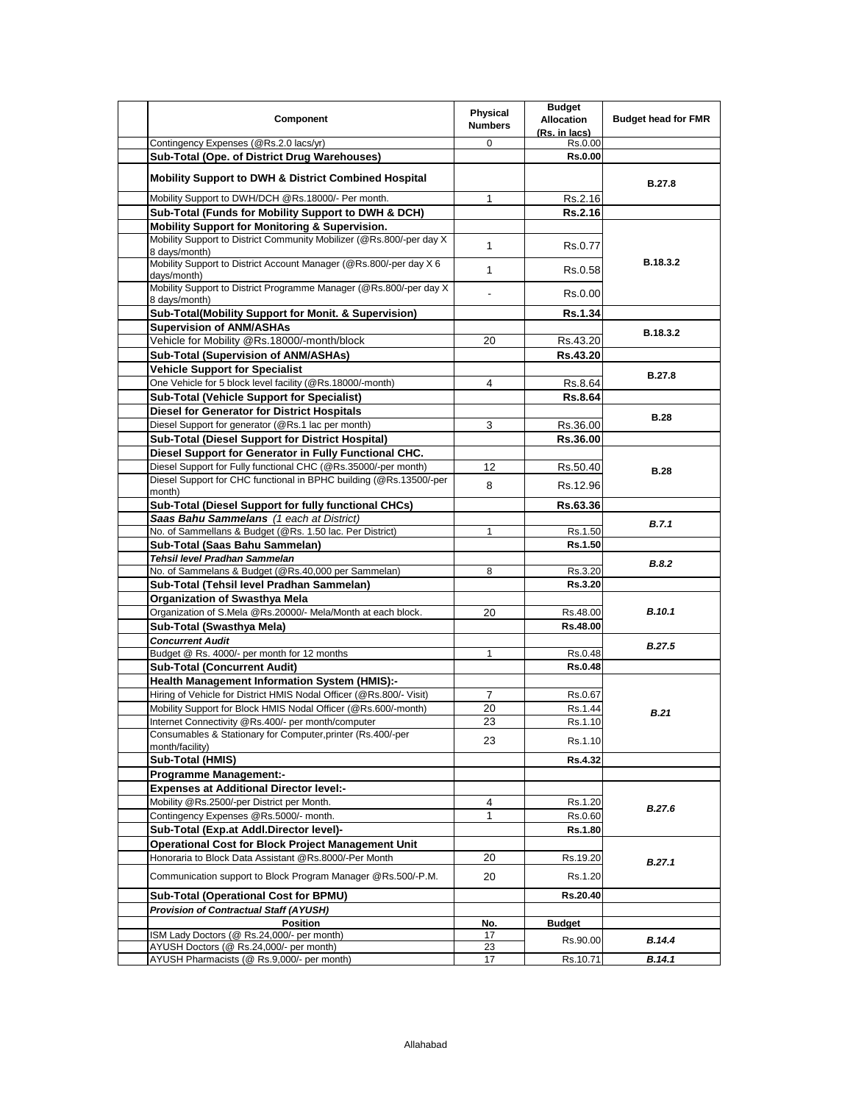|                                                                                        | Physical       | <b>Budget</b>            |                            |
|----------------------------------------------------------------------------------------|----------------|--------------------------|----------------------------|
| Component                                                                              | <b>Numbers</b> | <b>Allocation</b>        | <b>Budget head for FMR</b> |
|                                                                                        | $\Omega$       | (Rs. in lacs)<br>Rs.0.00 |                            |
| Contingency Expenses (@Rs.2.0 lacs/yr)<br>Sub-Total (Ope. of District Drug Warehouses) |                | <b>Rs.0.00</b>           |                            |
|                                                                                        |                |                          |                            |
| <b>Mobility Support to DWH &amp; District Combined Hospital</b>                        |                |                          | <b>B.27.8</b>              |
| Mobility Support to DWH/DCH @Rs.18000/- Per month.                                     | $\mathbf{1}$   | Rs.2.16                  |                            |
| Sub-Total (Funds for Mobility Support to DWH & DCH)                                    |                | Rs.2.16                  |                            |
| Mobility Support for Monitoring & Supervision.                                         |                |                          |                            |
| Mobility Support to District Community Mobilizer (@Rs.800/-per day X)<br>8 days/month) | $\mathbf{1}$   | Rs.0.77                  |                            |
| Mobility Support to District Account Manager (@Rs.800/-per day X 6<br>days/month)      | $\mathbf{1}$   | Rs.0.58                  | B.18.3.2                   |
| Mobility Support to District Programme Manager (@Rs.800/-per day X<br>8 days/month)    |                | Rs.0.00                  |                            |
| Sub-Total(Mobility Support for Monit. & Supervision)                                   |                | <b>Rs.1.34</b>           |                            |
| <b>Supervision of ANM/ASHAs</b>                                                        |                |                          |                            |
| Vehicle for Mobility @Rs.18000/-month/block                                            | 20             | Rs.43.20                 | B.18.3.2                   |
| Sub-Total (Supervision of ANM/ASHAs)                                                   |                | Rs.43.20                 |                            |
| <b>Vehicle Support for Specialist</b>                                                  |                |                          |                            |
| One Vehicle for 5 block level facility (@Rs.18000/-month)                              |                |                          | <b>B.27.8</b>              |
|                                                                                        | 4              | Rs.8.64                  |                            |
| <b>Sub-Total (Vehicle Support for Specialist)</b>                                      |                | <b>Rs.8.64</b>           |                            |
| <b>Diesel for Generator for District Hospitals</b>                                     |                |                          | <b>B.28</b>                |
| Diesel Support for generator (@Rs.1 lac per month)                                     | 3              | Rs.36.00                 |                            |
| <b>Sub-Total (Diesel Support for District Hospital)</b>                                |                | Rs.36.00                 |                            |
| Diesel Support for Generator in Fully Functional CHC.                                  |                |                          |                            |
| Diesel Support for Fully functional CHC (@Rs.35000/-per month)                         | 12             | Rs.50.40                 | <b>B.28</b>                |
| Diesel Support for CHC functional in BPHC building (@Rs.13500/-per<br>month)           | 8              | Rs.12.96                 |                            |
| Sub-Total (Diesel Support for fully functional CHCs)                                   |                | Rs.63.36                 |                            |
| Saas Bahu Sammelans (1 each at District)                                               |                |                          | <b>B.7.1</b>               |
| No. of Sammellans & Budget (@Rs. 1.50 lac. Per District)                               | 1              | Rs.1.50                  |                            |
| Sub-Total (Saas Bahu Sammelan)                                                         |                | Rs.1.50                  |                            |
| Tehsil level Pradhan Sammelan                                                          |                |                          | <b>B.8.2</b>               |
| No. of Sammelans & Budget (@Rs.40,000 per Sammelan)                                    | 8              | Rs.3.20                  |                            |
| Sub-Total (Tehsil level Pradhan Sammelan)                                              |                | Rs.3.20                  |                            |
| Organization of Swasthya Mela                                                          |                |                          |                            |
| Organization of S.Mela @Rs.20000/- Mela/Month at each block.                           | 20             | Rs.48.00                 | <b>B.10.1</b>              |
| Sub-Total (Swasthya Mela)                                                              |                | Rs.48.00                 |                            |
| <b>Concurrent Audit</b>                                                                |                |                          | B.27.5                     |
| Budget @ Rs. 4000/- per month for 12 months                                            | $\mathbf{1}$   | Rs.0.48                  |                            |
| <b>Sub-Total (Concurrent Audit)</b>                                                    |                | <b>Rs.0.48</b>           |                            |
| <b>Health Management Information System (HMIS):-</b>                                   |                |                          |                            |
| Hiring of Vehicle for District HMIS Nodal Officer (@Rs.800/- Visit)                    | 7              | Rs.0.67                  |                            |
| Mobility Support for Block HMIS Nodal Officer (@Rs.600/-month)                         | 20             | Rs.1.44                  | B.21                       |
| Internet Connectivity @Rs.400/- per month/computer                                     | 23             | Rs.1.10                  |                            |
| Consumables & Stationary for Computer, printer (Rs.400/-per<br>month/facility)         | 23             | Rs.1.10                  |                            |
| Sub-Total (HMIS)                                                                       |                | Rs.4.32                  |                            |
| <b>Programme Management:-</b>                                                          |                |                          |                            |
| <b>Expenses at Additional Director level:-</b>                                         |                |                          |                            |
| Mobility @Rs.2500/-per District per Month.                                             | 4              | Rs.1.20                  |                            |
| Contingency Expenses @Rs.5000/- month.                                                 | $\mathbf{1}$   | Rs.0.60                  | <b>B.27.6</b>              |
| Sub-Total (Exp.at Addl.Director level)-                                                |                | Rs.1.80                  |                            |
| <b>Operational Cost for Block Project Management Unit</b>                              |                |                          | B.27.1                     |
| Honoraria to Block Data Assistant @Rs.8000/-Per Month                                  | 20             | Rs.19.20                 |                            |
| Communication support to Block Program Manager @Rs.500/-P.M.                           | 20             | Rs.1.20                  |                            |
| Sub-Total (Operational Cost for BPMU)                                                  |                | Rs.20.40                 |                            |
| Provision of Contractual Staff (AYUSH)                                                 |                |                          |                            |
| <b>Position</b>                                                                        | No.            | <b>Budget</b>            |                            |
| ISM Lady Doctors (@ Rs.24,000/- per month)                                             | 17             | Rs.90.00                 | B.14.4                     |
| AYUSH Doctors (@ Rs.24,000/- per month)                                                | 23             |                          |                            |
| AYUSH Pharmacists (@ Rs.9,000/- per month)                                             | 17             | Rs.10.71                 | B.14.1                     |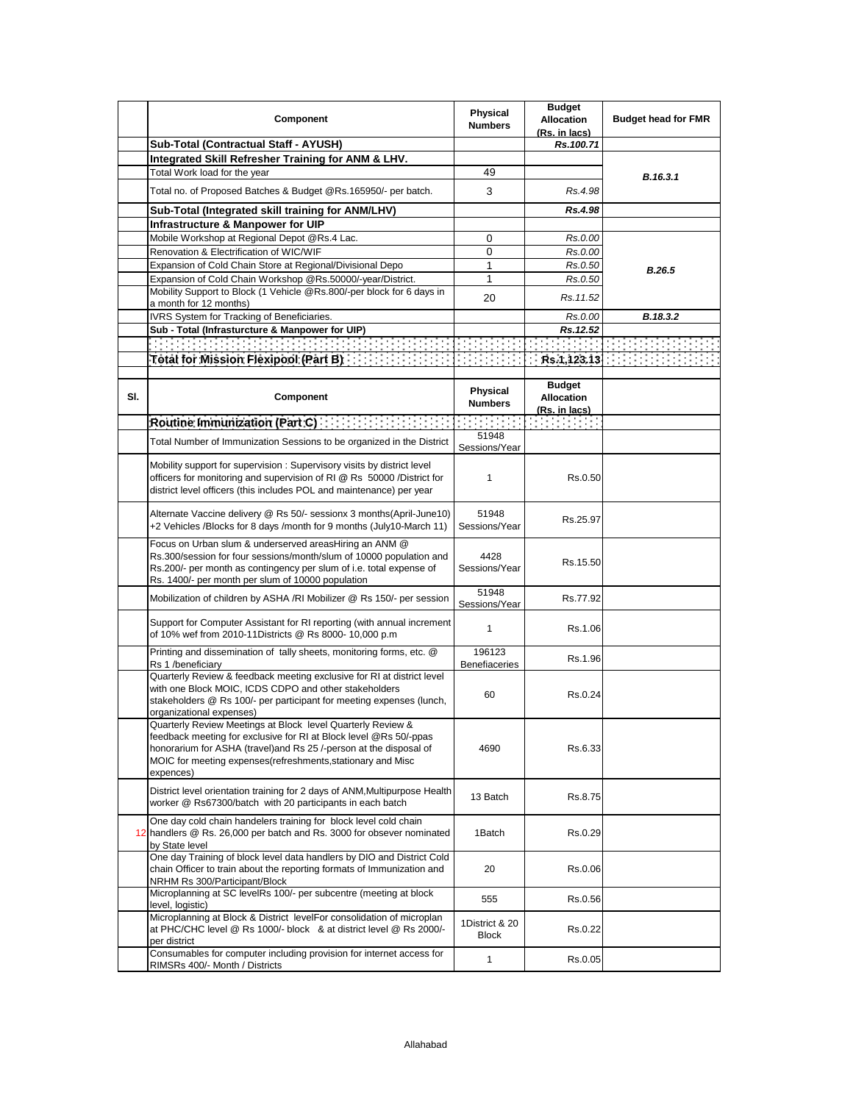|     | Component                                                                                                                                                                                                                                                                          | <b>Physical</b><br><b>Numbers</b> | <b>Budget</b><br><b>Allocation</b><br>(Rs. in lacs)               | <b>Budget head for FMR</b> |
|-----|------------------------------------------------------------------------------------------------------------------------------------------------------------------------------------------------------------------------------------------------------------------------------------|-----------------------------------|-------------------------------------------------------------------|----------------------------|
|     | Sub-Total (Contractual Staff - AYUSH)                                                                                                                                                                                                                                              |                                   | Rs.100.71                                                         |                            |
|     | Integrated Skill Refresher Training for ANM & LHV.                                                                                                                                                                                                                                 |                                   |                                                                   |                            |
|     | Total Work load for the year                                                                                                                                                                                                                                                       | 49                                |                                                                   |                            |
|     | Total no. of Proposed Batches & Budget @Rs.165950/- per batch.                                                                                                                                                                                                                     | 3                                 | Rs.4.98                                                           | B.16.3.1                   |
|     | Sub-Total (Integrated skill training for ANM/LHV)                                                                                                                                                                                                                                  |                                   | Rs.4.98                                                           |                            |
|     |                                                                                                                                                                                                                                                                                    |                                   |                                                                   |                            |
|     | Infrastructure & Manpower for UIP<br>Mobile Workshop at Regional Depot @Rs.4 Lac.                                                                                                                                                                                                  |                                   |                                                                   |                            |
|     |                                                                                                                                                                                                                                                                                    | 0                                 | Rs.0.00                                                           |                            |
|     | Renovation & Electrification of WIC/WIF                                                                                                                                                                                                                                            | 0                                 | Rs.0.00                                                           |                            |
|     | Expansion of Cold Chain Store at Regional/Divisional Depo                                                                                                                                                                                                                          | 1                                 | Rs.0.50                                                           | <b>B.26.5</b>              |
|     | Expansion of Cold Chain Workshop @Rs.50000/-year/District.                                                                                                                                                                                                                         | $\mathbf{1}$                      | Rs.0.50                                                           |                            |
|     | Mobility Support to Block (1 Vehicle @Rs.800/-per block for 6 days in<br>a month for 12 months)                                                                                                                                                                                    | 20                                | Rs.11.52                                                          |                            |
|     | IVRS System for Tracking of Beneficiaries.                                                                                                                                                                                                                                         |                                   | Rs.0.00                                                           | B.18.3.2                   |
|     | Sub - Total (Infrasturcture & Manpower for UIP)                                                                                                                                                                                                                                    |                                   | Rs.12.52                                                          |                            |
|     | 1999-1999 1999 1999 1999 1999 1999                                                                                                                                                                                                                                                 |                                   |                                                                   |                            |
|     |                                                                                                                                                                                                                                                                                    |                                   |                                                                   |                            |
|     | <b>Total for Mission Flexipool (Part B). The Strate Strate</b>                                                                                                                                                                                                                     |                                   | Rs.1,123.13                                                       |                            |
|     |                                                                                                                                                                                                                                                                                    |                                   |                                                                   |                            |
| SI. | Component                                                                                                                                                                                                                                                                          | Physical<br><b>Numbers</b>        | <b>Budget</b><br><b>Allocation</b><br><u>(Rs. in lacs)</u>        |                            |
|     | <b>Routine Immunization (Part C)</b>                                                                                                                                                                                                                                               |                                   | $\mathcal{O}(\mathcal{O}(1))$ . The $\mathcal{O}(\mathcal{O}(1))$ |                            |
|     |                                                                                                                                                                                                                                                                                    | 51948                             |                                                                   |                            |
|     | Total Number of Immunization Sessions to be organized in the District                                                                                                                                                                                                              | Sessions/Year                     |                                                                   |                            |
|     | Mobility support for supervision: Supervisory visits by district level<br>officers for monitoring and supervision of RI @ Rs 50000 /District for<br>district level officers (this includes POL and maintenance) per year                                                           | 1                                 | Rs.0.50                                                           |                            |
|     | Alternate Vaccine delivery @ Rs 50/- sessionx 3 months (April-June10)<br>+2 Vehicles /Blocks for 8 days /month for 9 months (July10-March 11)                                                                                                                                      | 51948<br>Sessions/Year            | Rs.25.97                                                          |                            |
|     | Focus on Urban slum & underserved areasHiring an ANM @<br>Rs.300/session for four sessions/month/slum of 10000 population and<br>Rs.200/- per month as contingency per slum of i.e. total expense of<br>Rs. 1400/- per month per slum of 10000 population                          | 4428<br>Sessions/Year             | Rs.15.50                                                          |                            |
|     | Mobilization of children by ASHA /RI Mobilizer @ Rs 150/- per session                                                                                                                                                                                                              | 51948<br>Sessions/Year            | Rs.77.92                                                          |                            |
|     | Support for Computer Assistant for RI reporting (with annual increment<br>of 10% wef from 2010-11Districts @ Rs 8000- 10,000 p.m                                                                                                                                                   | 1                                 | Rs.1.06                                                           |                            |
|     | Printing and dissemination of tally sheets, monitoring forms, etc. @<br>Rs 1 /beneficiary                                                                                                                                                                                          | 196123<br><b>Benefiaceries</b>    | Rs.1.96                                                           |                            |
|     | Quarterly Review & feedback meeting exclusive for RI at district level<br>with one Block MOIC, ICDS CDPO and other stakeholders<br>stakeholders @ Rs 100/- per participant for meeting expenses (lunch,<br>organizational expenses)                                                | 60                                | Rs.0.24                                                           |                            |
|     | Quarterly Review Meetings at Block level Quarterly Review &<br>feedback meeting for exclusive for RI at Block level @Rs 50/-ppas<br>honorarium for ASHA (travel)and Rs 25 /-person at the disposal of<br>MOIC for meeting expenses (refreshments, stationary and Misc<br>expences) | 4690                              | Rs.6.33                                                           |                            |
|     | District level orientation training for 2 days of ANM, Multipurpose Health<br>worker @ Rs67300/batch with 20 participants in each batch                                                                                                                                            | 13 Batch                          | Rs.8.75                                                           |                            |
|     | One day cold chain handelers training for block level cold chain<br>12 handlers @ Rs. 26,000 per batch and Rs. 3000 for obsever nominated<br>by State level                                                                                                                        | 1Batch                            | Rs.0.29                                                           |                            |
|     | One day Training of block level data handlers by DIO and District Cold<br>chain Officer to train about the reporting formats of Immunization and<br>NRHM Rs 300/Participant/Block                                                                                                  | 20                                | Rs.0.06                                                           |                            |
|     | Microplanning at SC levelRs 100/- per subcentre (meeting at block<br>level, logistic)                                                                                                                                                                                              | 555                               | Rs.0.56                                                           |                            |
|     | Microplanning at Block & District levelFor consolidation of microplan<br>at PHC/CHC level @ Rs 1000/- block & at district level @ Rs 2000/-<br>per district                                                                                                                        | 1District & 20<br><b>Block</b>    | Rs.0.22                                                           |                            |
|     | Consumables for computer including provision for internet access for<br>RIMSRs 400/- Month / Districts                                                                                                                                                                             | 1                                 | Rs.0.05                                                           |                            |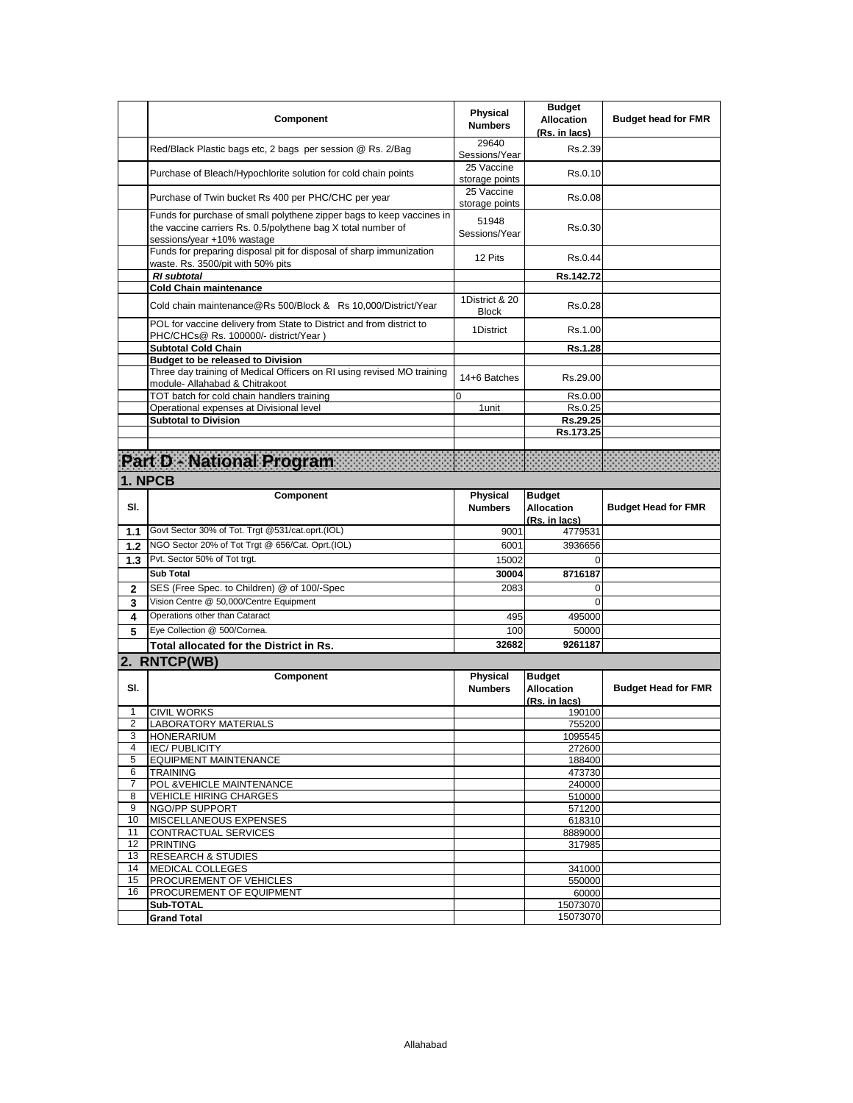|                       | Component                                                                                                                                                           | Physical<br><b>Numbers</b>     | <b>Budget</b><br><b>Allocation</b><br>(Rs. in lacs) | <b>Budget head for FMR</b> |
|-----------------------|---------------------------------------------------------------------------------------------------------------------------------------------------------------------|--------------------------------|-----------------------------------------------------|----------------------------|
|                       | Red/Black Plastic bags etc, 2 bags per session @ Rs. 2/Bag                                                                                                          | 29640<br>Sessions/Year         | Rs.2.39                                             |                            |
|                       | Purchase of Bleach/Hypochlorite solution for cold chain points                                                                                                      | 25 Vaccine<br>storage points   | Rs.0.10                                             |                            |
|                       | Purchase of Twin bucket Rs 400 per PHC/CHC per year                                                                                                                 | 25 Vaccine<br>storage points   | Rs.0.08                                             |                            |
|                       | Funds for purchase of small polythene zipper bags to keep vaccines in<br>the vaccine carriers Rs. 0.5/polythene bag X total number of<br>sessions/year +10% wastage | 51948<br>Sessions/Year         | Rs.0.30                                             |                            |
|                       | Funds for preparing disposal pit for disposal of sharp immunization<br>waste. Rs. 3500/pit with 50% pits                                                            | 12 Pits                        | Rs.0.44                                             |                            |
|                       | <b>RI</b> subtotal                                                                                                                                                  |                                | Rs.142.72                                           |                            |
|                       | <b>Cold Chain maintenance</b>                                                                                                                                       |                                |                                                     |                            |
|                       | Cold chain maintenance@Rs 500/Block & Rs 10,000/District/Year                                                                                                       | 1District & 20<br><b>Block</b> | Rs.0.28                                             |                            |
|                       | POL for vaccine delivery from State to District and from district to<br>PHC/CHCs@ Rs. 100000/- district/Year)                                                       | 1District                      | Rs.1.00                                             |                            |
|                       | <b>Subtotal Cold Chain</b>                                                                                                                                          |                                | Rs.1.28                                             |                            |
|                       | <b>Budget to be released to Division</b><br>Three day training of Medical Officers on RI using revised MO training                                                  |                                |                                                     |                            |
|                       | module- Allahabad & Chitrakoot<br>TOT batch for cold chain handlers training                                                                                        | 14+6 Batches<br>$\Omega$       | Rs.29.00                                            |                            |
|                       | Operational expenses at Divisional level                                                                                                                            | 1 unit                         | Rs.0.00<br>Rs.0.25                                  |                            |
|                       | <b>Subtotal to Division</b>                                                                                                                                         |                                | Rs.29.25                                            |                            |
|                       |                                                                                                                                                                     |                                | Rs.173.25                                           |                            |
|                       |                                                                                                                                                                     |                                |                                                     |                            |
|                       | <b>Part D - National Program</b>                                                                                                                                    |                                |                                                     |                            |
|                       | 1. NPCB                                                                                                                                                             |                                |                                                     |                            |
|                       | Component                                                                                                                                                           | Physical                       | <b>Budget</b>                                       |                            |
| SI.                   |                                                                                                                                                                     | <b>Numbers</b>                 | <b>Allocation</b>                                   | <b>Budget Head for FMR</b> |
|                       |                                                                                                                                                                     |                                | (Rs. in lacs)                                       |                            |
| 1.1                   | Govt Sector 30% of Tot. Trgt @531/cat.oprt.(IOL)                                                                                                                    | 9001                           | 4779531                                             |                            |
| 1.2                   | NGO Sector 20% of Tot Trgt @ 656/Cat. Oprt.(IOL)                                                                                                                    | 6001                           | 3936656                                             |                            |
| 1.3                   | Pvt. Sector 50% of Tot trgt.                                                                                                                                        | 15002                          | $\Omega$                                            |                            |
|                       | <b>Sub Total</b>                                                                                                                                                    | 30004                          | 8716187                                             |                            |
| $\mathbf{2}$          | SES (Free Spec. to Children) @ of 100/-Spec                                                                                                                         | 2083                           | $\Omega$                                            |                            |
| 3                     | Vision Centre @ 50,000/Centre Equipment                                                                                                                             |                                | $\Omega$                                            |                            |
| 4                     | Operations other than Cataract                                                                                                                                      | 495                            | 495000                                              |                            |
| 5                     | Eye Collection @ 500/Cornea.                                                                                                                                        | 100                            | 50000                                               |                            |
|                       | Total allocated for the District in Rs.                                                                                                                             | 32682                          | 9261187                                             |                            |
|                       | 2. RNTCP(WB)                                                                                                                                                        |                                |                                                     |                            |
|                       | Component                                                                                                                                                           | Physical                       | <b>Budget</b>                                       |                            |
| SI.                   |                                                                                                                                                                     | <b>Numbers</b>                 | <b>Allocation</b>                                   | <b>Budget Head for FMR</b> |
|                       |                                                                                                                                                                     |                                | (Rs. in lacs)                                       |                            |
| 1                     | <b>CIVIL WORKS</b>                                                                                                                                                  |                                | 190100                                              |                            |
| 2<br>3                | LABORATORY MATERIALS<br><b>HONERARIUM</b>                                                                                                                           |                                | 755200                                              |                            |
| 4                     | <b>IEC/PUBLICITY</b>                                                                                                                                                |                                | 1095545<br>272600                                   |                            |
| 5                     | <b>EQUIPMENT MAINTENANCE</b>                                                                                                                                        |                                | 188400                                              |                            |
| 6                     | <b>TRAINING</b>                                                                                                                                                     |                                | 473730                                              |                            |
| 7                     | POL & VEHICLE MAINTENANCE                                                                                                                                           |                                | 240000                                              |                            |
| 8                     | <b>VEHICLE HIRING CHARGES</b>                                                                                                                                       |                                | 510000                                              |                            |
| 9                     | <b>NGO/PP SUPPORT</b>                                                                                                                                               |                                | 571200                                              |                            |
| 10                    | <b>MISCELLANEOUS EXPENSES</b>                                                                                                                                       |                                | 618310                                              |                            |
| 11<br>12 <sup>2</sup> | CONTRACTUAL SERVICES<br><b>PRINTING</b>                                                                                                                             |                                | 8889000<br>317985                                   |                            |
| 13                    | <b>RESEARCH &amp; STUDIES</b>                                                                                                                                       |                                |                                                     |                            |
| 14                    | MEDICAL COLLEGES                                                                                                                                                    |                                | 341000                                              |                            |
| 15                    | <b>PROCUREMENT OF VEHICLES</b>                                                                                                                                      |                                | 550000                                              |                            |
| 16                    | <b>PROCUREMENT OF EQUIPMENT</b>                                                                                                                                     |                                | 60000                                               |                            |
|                       | Sub-TOTAL                                                                                                                                                           |                                | 15073070                                            |                            |
|                       | <b>Grand Total</b>                                                                                                                                                  |                                | 15073070                                            |                            |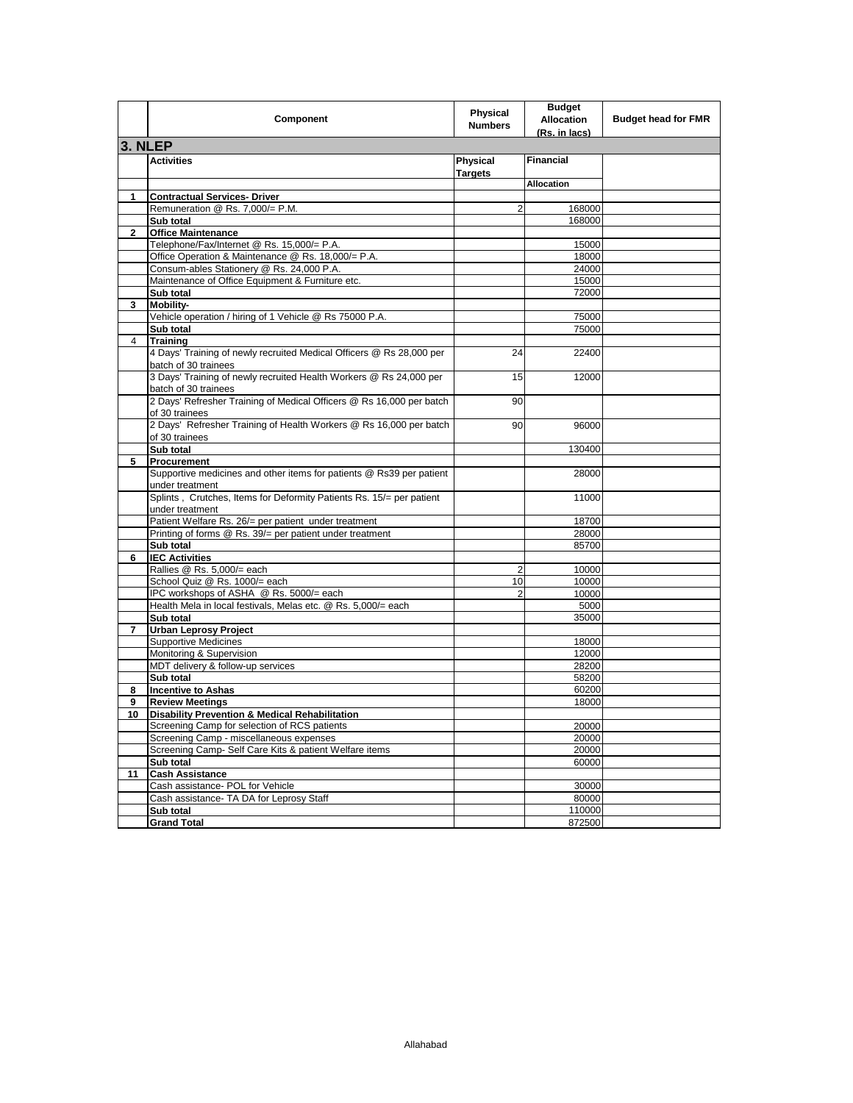|         | Component                                                                                    | Physical<br><b>Numbers</b>        | <b>Budget</b><br><b>Allocation</b><br>(Rs. in lacs) | <b>Budget head for FMR</b> |
|---------|----------------------------------------------------------------------------------------------|-----------------------------------|-----------------------------------------------------|----------------------------|
| 3. NLEP |                                                                                              |                                   |                                                     |                            |
|         | <b>Activities</b>                                                                            | <b>Physical</b><br><b>Targets</b> | <b>Financial</b>                                    |                            |
|         |                                                                                              |                                   | <b>Allocation</b>                                   |                            |
| 1       | <b>Contractual Services- Driver</b>                                                          |                                   |                                                     |                            |
|         | Remuneration @ Rs. 7,000/= P.M.                                                              | 2                                 | 168000                                              |                            |
|         | Sub total                                                                                    |                                   | 168000                                              |                            |
| 2       | <b>Office Maintenance</b>                                                                    |                                   |                                                     |                            |
|         | Telephone/Fax/Internet @ Rs. 15,000/= P.A.                                                   |                                   | 15000                                               |                            |
|         | Office Operation & Maintenance @ Rs. 18,000/= P.A.                                           |                                   | 18000                                               |                            |
|         | Consum-ables Stationery @ Rs. 24,000 P.A.                                                    |                                   | 24000                                               |                            |
|         | Maintenance of Office Equipment & Furniture etc.                                             |                                   | 15000                                               |                            |
|         | Sub total                                                                                    |                                   | 72000                                               |                            |
| 3       | Mobility-                                                                                    |                                   |                                                     |                            |
|         | Vehicle operation / hiring of 1 Vehicle @ Rs 75000 P.A.                                      |                                   | 75000                                               |                            |
|         | Sub total                                                                                    |                                   | 75000                                               |                            |
| 4       | <b>Training</b>                                                                              |                                   |                                                     |                            |
|         | 4 Days' Training of newly recruited Medical Officers @ Rs 28,000 per<br>batch of 30 trainees | 24                                | 22400                                               |                            |
|         | 3 Days' Training of newly recruited Health Workers @ Rs 24,000 per<br>batch of 30 trainees   | 15                                | 12000                                               |                            |
|         | 2 Days' Refresher Training of Medical Officers @ Rs 16,000 per batch<br>of 30 trainees       | 90                                |                                                     |                            |
|         | 2 Days' Refresher Training of Health Workers @ Rs 16,000 per batch<br>of 30 trainees         | 90                                | 96000                                               |                            |
|         | Sub total                                                                                    |                                   | 130400                                              |                            |
| 5       | Procurement                                                                                  |                                   |                                                     |                            |
|         | Supportive medicines and other items for patients @ Rs39 per patient<br>under treatment      |                                   | 28000                                               |                            |
|         | Splints, Crutches, Items for Deformity Patients Rs. 15/= per patient                         |                                   | 11000                                               |                            |
|         | under treatment<br>Patient Welfare Rs. 26/= per patient under treatment                      |                                   | 18700                                               |                            |
|         | Printing of forms @ Rs. 39/= per patient under treatment                                     |                                   | 28000                                               |                            |
|         | Sub total                                                                                    |                                   | 85700                                               |                            |
| 6       | <b>IEC Activities</b>                                                                        |                                   |                                                     |                            |
|         | Rallies @ Rs. 5,000/= each                                                                   | 2                                 | 10000                                               |                            |
|         | School Quiz @ Rs. 1000/= each                                                                | 10                                | 10000                                               |                            |
|         | IPC workshops of ASHA @ Rs. 5000/= each                                                      | 2                                 | 10000                                               |                            |
|         | Health Mela in local festivals, Melas etc. @ Rs. 5,000/= each                                |                                   | 5000                                                |                            |
|         | Sub total                                                                                    |                                   | 35000                                               |                            |
| 7       | <b>Urban Leprosy Project</b>                                                                 |                                   |                                                     |                            |
|         | <b>Supportive Medicines</b>                                                                  |                                   | 18000                                               |                            |
|         | Monitoring & Supervision                                                                     |                                   | 12000                                               |                            |
|         | MDT delivery & follow-up services                                                            |                                   | 28200                                               |                            |
|         | Sub total                                                                                    |                                   | 58200                                               |                            |
| 8       | <b>Incentive to Ashas</b>                                                                    |                                   | 60200                                               |                            |
| 9       | <b>Review Meetings</b>                                                                       |                                   | 18000                                               |                            |
| 10      | <b>Disability Prevention &amp; Medical Rehabilitation</b>                                    |                                   |                                                     |                            |
|         | Screening Camp for selection of RCS patients                                                 |                                   | 20000                                               |                            |
|         | Screening Camp - miscellaneous expenses                                                      |                                   | 20000                                               |                            |
|         | Screening Camp- Self Care Kits & patient Welfare items                                       |                                   | 20000                                               |                            |
|         | Sub total                                                                                    |                                   | 60000                                               |                            |
| 11      | <b>Cash Assistance</b>                                                                       |                                   |                                                     |                            |
|         | Cash assistance- POL for Vehicle                                                             |                                   | 30000                                               |                            |
|         | Cash assistance- TA DA for Leprosy Staff                                                     |                                   | 80000                                               |                            |
|         | Sub total                                                                                    |                                   | 110000                                              |                            |
|         | <b>Grand Total</b>                                                                           |                                   | 872500                                              |                            |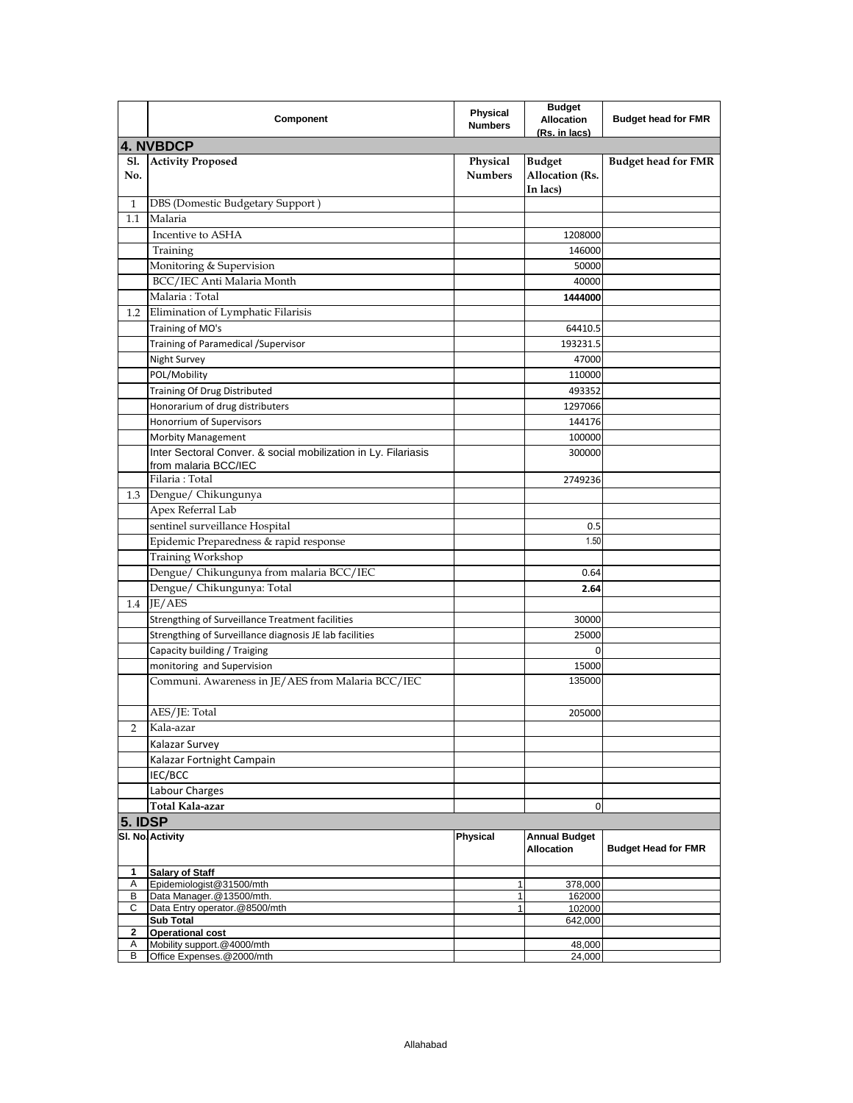|                   | Component                                                                              | <b>Physical</b><br><b>Numbers</b> | <b>Budget</b><br><b>Allocation</b><br>(Rs. in lacs) | <b>Budget head for FMR</b> |
|-------------------|----------------------------------------------------------------------------------------|-----------------------------------|-----------------------------------------------------|----------------------------|
|                   | 4. NVBDCP                                                                              |                                   |                                                     |                            |
| <b>S1.</b><br>No. | <b>Activity Proposed</b>                                                               | Physical<br><b>Numbers</b>        | <b>Budget</b><br><b>Allocation</b> (Rs.             | <b>Budget head for FMR</b> |
| 1                 | DBS (Domestic Budgetary Support)                                                       |                                   | In lacs)                                            |                            |
| $1.1\,$           | Malaria                                                                                |                                   |                                                     |                            |
|                   | Incentive to ASHA                                                                      |                                   | 1208000                                             |                            |
|                   | Training                                                                               |                                   | 146000                                              |                            |
|                   | Monitoring & Supervision                                                               |                                   | 50000                                               |                            |
|                   | BCC/IEC Anti Malaria Month                                                             |                                   | 40000                                               |                            |
|                   | Malaria: Total                                                                         |                                   | 1444000                                             |                            |
| 1.2               | Elimination of Lymphatic Filarisis                                                     |                                   |                                                     |                            |
|                   | Training of MO's                                                                       |                                   | 64410.5                                             |                            |
|                   | Training of Paramedical / Supervisor                                                   |                                   | 193231.5                                            |                            |
|                   |                                                                                        |                                   | 47000                                               |                            |
|                   | Night Survey<br>POL/Mobility                                                           |                                   |                                                     |                            |
|                   |                                                                                        |                                   | 110000                                              |                            |
|                   | Training Of Drug Distributed                                                           |                                   | 493352                                              |                            |
|                   | Honorarium of drug distributers                                                        |                                   | 1297066                                             |                            |
|                   | Honorrium of Supervisors                                                               |                                   | 144176                                              |                            |
|                   | <b>Morbity Management</b>                                                              |                                   | 100000                                              |                            |
|                   | Inter Sectoral Conver. & social mobilization in Ly. Filariasis<br>from malaria BCC/IEC |                                   | 300000                                              |                            |
|                   | Filaria: Total                                                                         |                                   | 2749236                                             |                            |
| 1.3               | Dengue/ Chikungunya                                                                    |                                   |                                                     |                            |
|                   | Apex Referral Lab                                                                      |                                   |                                                     |                            |
|                   | sentinel surveillance Hospital                                                         |                                   | 0.5                                                 |                            |
|                   | Epidemic Preparedness & rapid response                                                 |                                   | 1.50                                                |                            |
|                   | Training Workshop                                                                      |                                   |                                                     |                            |
|                   | Dengue/ Chikungunya from malaria BCC/IEC                                               |                                   | 0.64                                                |                            |
|                   | Dengue/ Chikungunya: Total                                                             |                                   |                                                     |                            |
| $1.4\,$           | JE/AES                                                                                 |                                   | 2.64                                                |                            |
|                   |                                                                                        |                                   |                                                     |                            |
|                   | Strengthing of Surveillance Treatment facilities                                       |                                   | 30000                                               |                            |
|                   | Strengthing of Surveillance diagnosis JE lab facilities                                |                                   | 25000                                               |                            |
|                   | Capacity building / Traiging                                                           |                                   | 0                                                   |                            |
|                   | monitoring and Supervision                                                             |                                   | 15000                                               |                            |
|                   | Communi. Awareness in JE/AES from Malaria BCC/IEC                                      |                                   | 135000                                              |                            |
|                   | AES/JE: Total                                                                          |                                   | 205000                                              |                            |
| 2                 | Kala-azar                                                                              |                                   |                                                     |                            |
|                   | Kalazar Survey                                                                         |                                   |                                                     |                            |
|                   | Kalazar Fortnight Campain                                                              |                                   |                                                     |                            |
|                   | IEC/BCC                                                                                |                                   |                                                     |                            |
|                   | Labour Charges                                                                         |                                   |                                                     |                            |
|                   | Total Kala-azar                                                                        |                                   | 0                                                   |                            |
| 5. IDSP           |                                                                                        |                                   |                                                     |                            |
|                   | SI. No. Activity                                                                       | Physical                          | <b>Annual Budget</b><br><b>Allocation</b>           | <b>Budget Head for FMR</b> |
| 1                 | <b>Salary of Staff</b>                                                                 |                                   |                                                     |                            |
| Α                 | Epidemiologist@31500/mth                                                               | 1                                 | 378,000                                             |                            |
| В<br>С            | Data Manager.@13500/mth.<br>Data Entry operator.@8500/mth                              | 1<br>1                            | 162000<br>102000                                    |                            |
|                   | <b>Sub Total</b>                                                                       |                                   | 642,000                                             |                            |
| 2                 | <b>Operational cost</b>                                                                |                                   |                                                     |                            |
| Α<br>В            | Mobility support.@4000/mth<br>Office Expenses.@2000/mth                                |                                   | 48,000                                              |                            |
|                   |                                                                                        |                                   | 24,000                                              |                            |